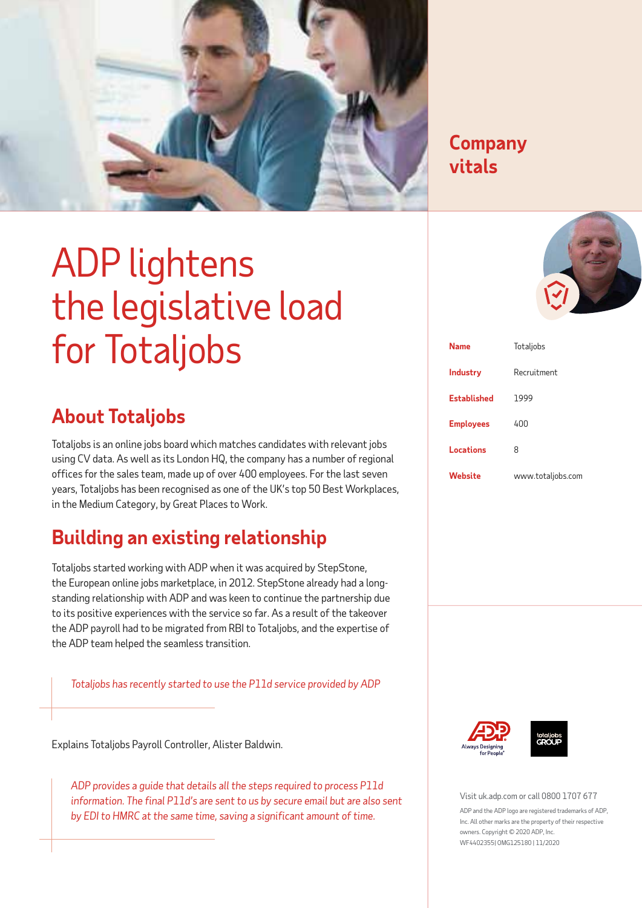

### **Company Company vitals vitals**

# ADP lightens the legislative load for Totaljobs

# **About Totaljobs**

Totaljobs is an online jobs board which matches candidates with relevant jobs using CV data. As well as its London HQ, the company has a number of regional offices for the sales team, made up of over 400 employees. For the last seven years, Totaljobs has been recognised as one of the UK's top 50 Best Workplaces, in the Medium Category, by Great Places to Work.

# **Building an existing relationship**

Totaljobs started working with ADP when it was acquired by StepStone, the European online jobs marketplace, in 2012. StepStone already had a longstanding relationship with ADP and was keen to continue the partnership due to its positive experiences with the service so far. As a result of the takeover the ADP payroll had to be migrated from RBI to Totaljobs, and the expertise of the ADP team helped the seamless transition.

*Totaljobs has recently started to use the P11d service provided by ADP*

Explains Totaljobs Payroll Controller, Alister Baldwin.

*ADP provides a guide that details all the steps required to process P11d information. The final P11d's are sent to us by secure email but are also sent by EDI to HMRC at the same time, saving a significant amount of time.* 



| <b>Name</b>        | Totaljobs         |
|--------------------|-------------------|
| <b>Industry</b>    | Recruitment       |
| <b>Established</b> | 1999              |
| <b>Employees</b>   | 400               |
| Locations          | 8                 |
| Website            | www.totaljobs.com |





Visit uk.adp.com or call 0800 1707 677

ADP and the ADP logo are registered trademarks of ADP. Inc. All other marks are the property of their respective owners. Copyright © 2020 ADP, Inc. WF4402355| OMG125180 | 11/2020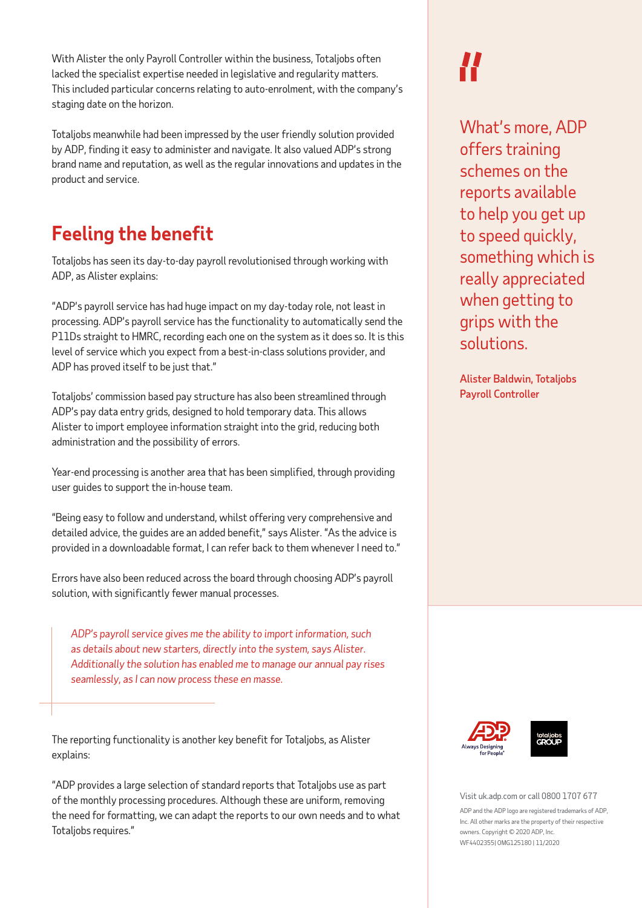With Alister the only Payroll Controller within the business, Totaljobs often lacked the specialist expertise needed in legislative and regularity matters. This included particular concerns relating to auto-enrolment, with the company's staging date on the horizon.

Totaljobs meanwhile had been impressed by the user friendly solution provided by ADP, finding it easy to administer and navigate. It also valued ADP's strong brand name and reputation, as well as the regular innovations and updates in the product and service.

# **Feeling the benefit**

Totaljobs has seen its day-to-day payroll revolutionised through working with ADP, as Alister explains:

"ADP's payroll service has had huge impact on my day-today role, not least in processing. ADP's payroll service has the functionality to automatically send the P11Ds straight to HMRC, recording each one on the system as it does so. It is this level of service which you expect from a best-in-class solutions provider, and ADP has proved itself to be just that."

Totaljobs' commission based pay structure has also been streamlined through ADP's pay data entry grids, designed to hold temporary data. This allows Alister to import employee information straight into the grid, reducing both administration and the possibility of errors.

Year-end processing is another area that has been simplified, through providing user guides to support the in-house team.

"Being easy to follow and understand, whilst offering very comprehensive and detailed advice, the guides are an added benefit," says Alister. "As the advice is provided in a downloadable format, I can refer back to them whenever I need to."

Errors have also been reduced across the board through choosing ADP's payroll solution, with significantly fewer manual processes.

*ADP's payroll service gives me the ability to import information, such as details about new starters, directly into the system, says Alister. Additionally the solution has enabled me to manage our annual pay rises seamlessly, as I can now process these en masse.* 

The reporting functionality is another key benefit for Totaljobs, as Alister explains:

"ADP provides a large selection of standard reports that Totaljobs use as part of the monthly processing procedures. Although these are uniform, removing the need for formatting, we can adapt the reports to our own needs and to what Totaljobs requires."

What's more, ADP offers training schemes on the reports available to help you get up to speed quickly, something which is really appreciated when getting to grips with the solutions.

Alister Baldwin, Totaljobs Payroll Controller





Visit uk.adp.com or call 0800 1707 677

ADP and the ADP logo are registered trademarks of ADP. Inc. All other marks are the property of their respective owners. Copyright © 2020 ADP, Inc. WF4402355| OMG125180 | 11/2020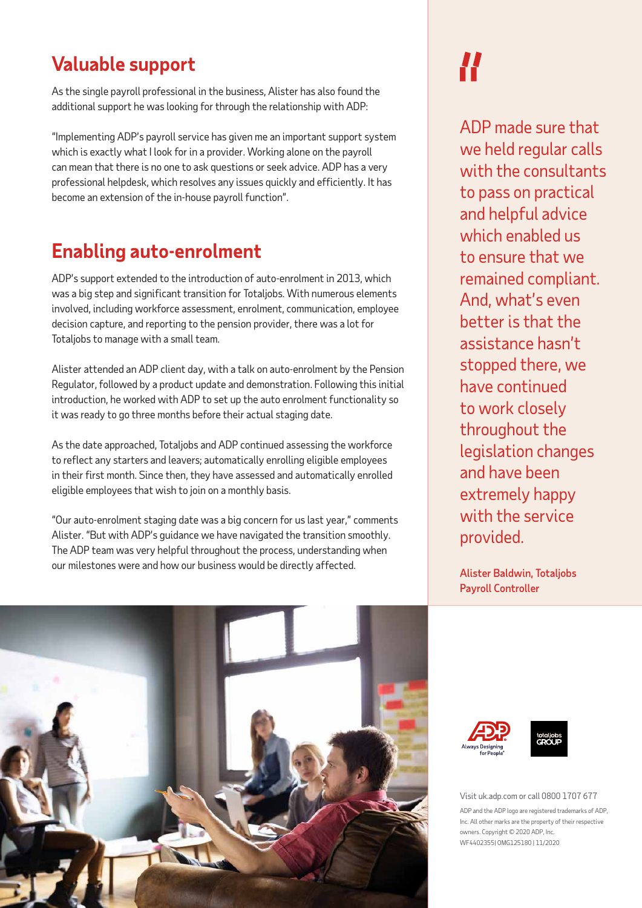## **Valuable support**

As the single payroll professional in the business, Alister has also found the additional support he was looking for through the relationship with ADP:

"Implementing ADP's payroll service has given me an important support system which is exactly what I look for in a provider. Working alone on the payroll can mean that there is no one to ask questions or seek advice. ADP has a very professional helpdesk, which resolves any issues quickly and efficiently. It has become an extension of the in-house payroll function".

# **Enabling auto-enrolment**

ADP's support extended to the introduction of auto-enrolment in 2013, which was a big step and significant transition for Totaljobs. With numerous elements involved, including workforce assessment, enrolment, communication, employee decision capture, and reporting to the pension provider, there was a lot for Totaljobs to manage with a small team.

Alister attended an ADP client day, with a talk on auto-enrolment by the Pension Regulator, followed by a product update and demonstration. Following this initial introduction, he worked with ADP to set up the auto enrolment functionality so it was ready to go three months before their actual staging date.

As the date approached, Totaljobs and ADP continued assessing the workforce to reflect any starters and leavers; automatically enrolling eligible employees in their first month. Since then, they have assessed and automatically enrolled eligible employees that wish to join on a monthly basis.

"Our auto-enrolment staging date was a big concern for us last year," comments Alister. "But with ADP's guidance we have navigated the transition smoothly. The ADP team was very helpful throughout the process, understanding when our milestones were and how our business would be directly affected.

# **//**

ADP made sure that we held regular calls with the consultants to pass on practical and helpful advice which enabled us to ensure that we remained compliant. And, what's even better is that the assistance hasn't stopped there, we have continued to work closely throughout the legislation changes and have been extremely happy with the service provided.

Alister Baldwin, Totaljobs Payroll Controller







Visit uk.adp.com or call 0800 1707 677

ADP and the ADP logo are registered trademarks of ADP. Inc. All other marks are the property of their respective owners. Copyright © 2020 ADP, Inc. WF4402355| OMG125180 | 11/2020